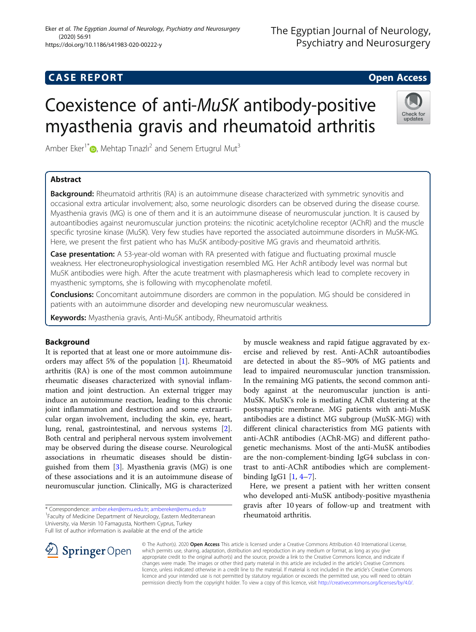## **CASE REPORT CASE REPORT**

# Coexistence of anti-MuSK antibody-positive myasthenia gravis and rheumatoid arthritis

Amber Eker<sup>1\*</sup> [,](http://orcid.org/0000-0001-9997-4662) Mehtap Tınazlı<sup>2</sup> and Senem Ertugrul Mut<sup>3</sup>

### Abstract



Background: Rheumatoid arthritis (RA) is an autoimmune disease characterized with symmetric synovitis and occasional extra articular involvement; also, some neurologic disorders can be observed during the disease course. Myasthenia gravis (MG) is one of them and it is an autoimmune disease of neuromuscular junction. It is caused by autoantibodies against neuromuscular junction proteins: the nicotinic acetylcholine receptor (AChR) and the muscle specific tyrosine kinase (MuSK). Very few studies have reported the associated autoimmune disorders in MuSK-MG. Here, we present the first patient who has MuSK antibody-positive MG gravis and rheumatoid arthritis.

**Case presentation:** A 53-year-old woman with RA presented with fatique and fluctuating proximal muscle weakness. Her electroneurophysiological investigation resembled MG. Her AchR antibody level was normal but MuSK antibodies were high. After the acute treatment with plasmapheresis which lead to complete recovery in myasthenic symptoms, she is following with mycophenolate mofetil.

**Conclusions:** Concomitant autoimmune disorders are common in the population. MG should be considered in patients with an autoimmune disorder and developing new neuromuscular weakness.

Keywords: Myasthenia gravis, Anti-MuSK antibody, Rheumatoid arthritis

#### Background

It is reported that at least one or more autoimmune disorders may affect 5% of the population [[1\]](#page-2-0). Rheumatoid arthritis (RA) is one of the most common autoimmune rheumatic diseases characterized with synovial inflammation and joint destruction. An external trigger may induce an autoimmune reaction, leading to this chronic joint inflammation and destruction and some extraarticular organ involvement, including the skin, eye, heart, lung, renal, gastrointestinal, and nervous systems [\[2](#page-2-0)]. Both central and peripheral nervous system involvement may be observed during the disease course. Neurological associations in rheumatic diseases should be distinguished from them  $[3]$  $[3]$ . Myasthenia gravis (MG) is one of these associations and it is an autoimmune disease of neuromuscular junction. Clinically, MG is characterized

by muscle weakness and rapid fatigue aggravated by exercise and relieved by rest. Anti-AChR autoantibodies are detected in about the 85–90% of MG patients and lead to impaired neuromuscular junction transmission. In the remaining MG patients, the second common antibody against at the neuromuscular junction is anti-MuSK. MuSK's role is mediating AChR clustering at the postsynaptic membrane. MG patients with anti-MuSK antibodies are a distinct MG subgroup (MuSK-MG) with different clinical characteristics from MG patients with anti-AChR antibodies (AChR-MG) and different pathogenetic mechanisms. Most of the anti-MuSK antibodies are the non-complement-binding IgG4 subclass in contrast to anti-AChR antibodies which are complementbinding IgG1 [[1,](#page-2-0) [4](#page-2-0)–[7\]](#page-2-0).

Here, we present a patient with her written consent who developed anti-MuSK antibody-positive myasthenia gravis after 10 years of follow-up and treatment with rheumatoid arthritis.



© The Author(s). 2020 Open Access This article is licensed under a Creative Commons Attribution 4.0 International License, which permits use, sharing, adaptation, distribution and reproduction in any medium or format, as long as you give appropriate credit to the original author(s) and the source, provide a link to the Creative Commons licence, and indicate if changes were made. The images or other third party material in this article are included in the article's Creative Commons licence, unless indicated otherwise in a credit line to the material. If material is not included in the article's Creative Commons licence and your intended use is not permitted by statutory regulation or exceeds the permitted use, you will need to obtain permission directly from the copyright holder. To view a copy of this licence, visit <http://creativecommons.org/licenses/by/4.0/>.

<sup>\*</sup> Correspondence: [amber.eker@emu.edu.tr](mailto:amber.eker@emu.edu.tr); [ambereker@emu.edu.tr](mailto:ambereker@emu.edu.tr) <sup>1</sup> <sup>1</sup> Faculty of Medicine Department of Neurology, Eastern Mediterranean University, via Mersin 10 Famagusta, Northern Cyprus, Turkey Full list of author information is available at the end of the article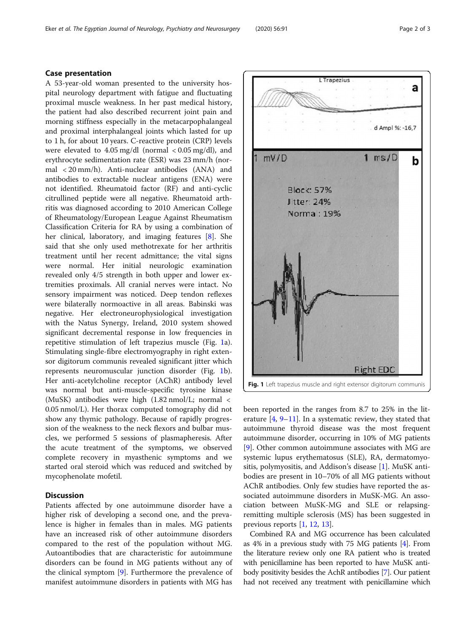#### Case presentation

A 53-year-old woman presented to the university hospital neurology department with fatigue and fluctuating proximal muscle weakness. In her past medical history, the patient had also described recurrent joint pain and morning stiffness especially in the metacarpophalangeal and proximal interphalangeal joints which lasted for up to 1 h, for about 10 years. C-reactive protein (CRP) levels were elevated to 4.05 mg/dl (normal < 0.05 mg/dl), and erythrocyte sedimentation rate (ESR) was 23 mm/h (normal < 20 mm/h). Anti-nuclear antibodies (ANA) and antibodies to extractable nuclear antigens (ENA) were not identified. Rheumatoid factor (RF) and anti-cyclic citrullined peptide were all negative. Rheumatoid arthritis was diagnosed according to 2010 American College of Rheumatology/European League Against Rheumatism Classification Criteria for RA by using a combination of her clinical, laboratory, and imaging features [\[8](#page-2-0)]. She said that she only used methotrexate for her arthritis treatment until her recent admittance; the vital signs were normal. Her initial neurologic examination revealed only 4/5 strength in both upper and lower extremities proximals. All cranial nerves were intact. No sensory impairment was noticed. Deep tendon reflexes were bilaterally normoactive in all areas. Babinski was negative. Her electroneurophysiological investigation with the Natus Synergy, Ireland, 2010 system showed significant decremental response in low frequencies in repetitive stimulation of left trapezius muscle (Fig. 1a). Stimulating single-fibre electromyography in right extensor digitorum communis revealed significant jitter which represents neuromuscular junction disorder (Fig. 1b). Her anti-acetylcholine receptor (AChR) antibody level was normal but anti-muscle-specific tyrosine kinase (MuSK) antibodies were high (1.82 nmol/L; normal < 0.05 nmol/L). Her thorax computed tomography did not show any thymic pathology. Because of rapidly progression of the weakness to the neck flexors and bulbar muscles, we performed 5 sessions of plasmapheresis. After the acute treatment of the symptoms, we observed complete recovery in myasthenic symptoms and we started oral steroid which was reduced and switched by mycophenolate mofetil.

#### **Discussion**

Patients affected by one autoimmune disorder have a higher risk of developing a second one, and the prevalence is higher in females than in males. MG patients have an increased risk of other autoimmune disorders compared to the rest of the population without MG. Autoantibodies that are characteristic for autoimmune disorders can be found in MG patients without any of the clinical symptom [\[9\]](#page-2-0). Furthermore the prevalence of manifest autoimmune disorders in patients with MG has



been reported in the ranges from 8.7 to 25% in the literature  $[4, 9-11]$  $[4, 9-11]$  $[4, 9-11]$  $[4, 9-11]$  $[4, 9-11]$  $[4, 9-11]$ . In a systematic review, they stated that autoimmune thyroid disease was the most frequent autoimmune disorder, occurring in 10% of MG patients [[9\]](#page-2-0). Other common autoimmune associates with MG are systemic lupus erythematosus (SLE), RA, dermatomyositis, polymyositis, and Addison's disease [\[1](#page-2-0)]. MuSK antibodies are present in 10–70% of all MG patients without AChR antibodies. Only few studies have reported the associated autoimmune disorders in MuSK-MG. An association between MuSK-MG and SLE or relapsingremitting multiple sclerosis (MS) has been suggested in previous reports [\[1](#page-2-0), [12](#page-2-0), [13](#page-2-0)].

Combined RA and MG occurrence has been calculated as 4% in a previous study with 75 MG patients [[4](#page-2-0)]. From the literature review only one RA patient who is treated with penicillamine has been reported to have MuSK antibody positivity besides the AchR antibodies [\[7\]](#page-2-0). Our patient had not received any treatment with penicillamine which